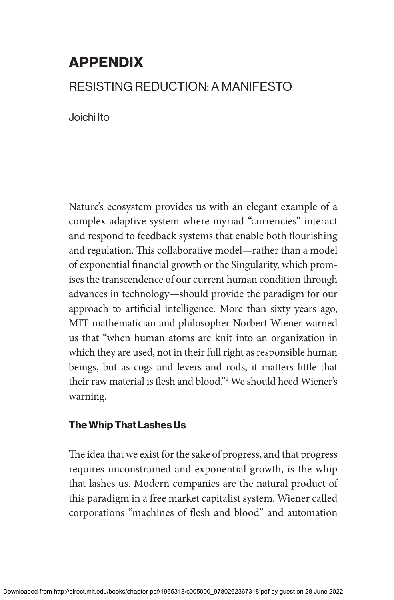# APPENDIX

## RESISTING REDUCTION: A MANIFESTO

Joichi Ito

Nature's ecosystem provides us with an elegant example of a complex adaptive system where myriad "currencies" interact and respond to feedback systems that enable both flourishing and regulation. This collaborative model—rather than a model of exponential financial growth or the Singularity, which promises the transcendence of our current human condition through advances in technology—should provide the paradigm for our approach to artificial intelligence. More than sixty years ago, MIT mathematician and philosopher Norbert Wiener warned us that "when human atoms are knit into an organization in which they are used, not in their full right as responsible human beings, but as cogs and levers and rods, it matters little that their raw material is flesh and blood."1 We should heed Wiener's warning.

## The Whip That Lashes Us

The idea that we exist for the sake of progress, and that progress requires unconstrained and exponential growth, is the whip that lashes us. Modern companies are the natural product of this paradigm in a free market capitalist system. Wiener called corporations "machines of flesh and blood" and automation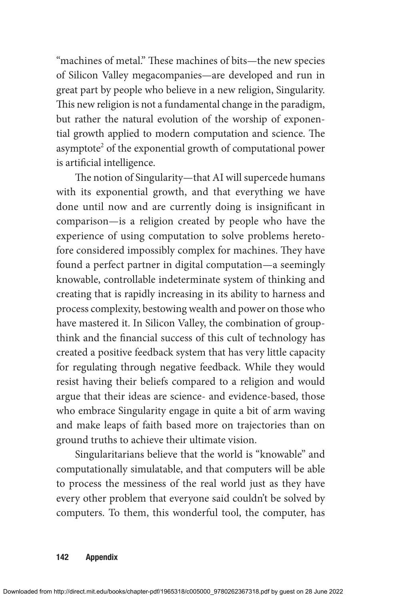"machines of metal." These machines of bits—the new species of Silicon Valley megacompanies—are developed and run in great part by people who believe in a new religion, Singularity. This new religion is not a fundamental change in the paradigm, but rather the natural evolution of the worship of exponential growth applied to modern computation and science. The asymptote<sup>2</sup> of the exponential growth of computational power is artificial intelligence.

The notion of Singularity—that AI will supercede humans with its exponential growth, and that everything we have done until now and are currently doing is insignificant in comparison—is a religion created by people who have the experience of using computation to solve problems heretofore considered impossibly complex for machines. They have found a perfect partner in digital computation—a seemingly knowable, controllable indeterminate system of thinking and creating that is rapidly increasing in its ability to harness and process complexity, bestowing wealth and power on those who have mastered it. In Silicon Valley, the combination of groupthink and the financial success of this cult of technology has created a positive feedback system that has very little capacity for regulating through negative feedback. While they would resist having their beliefs compared to a religion and would argue that their ideas are science- and evidence-based, those who embrace Singularity engage in quite a bit of arm waving and make leaps of faith based more on trajectories than on ground truths to achieve their ultimate vision.

Singularitarians believe that the world is "knowable" and computationally simulatable, and that computers will be able to process the messiness of the real world just as they have every other problem that everyone said couldn't be solved by computers. To them, this wonderful tool, the computer, has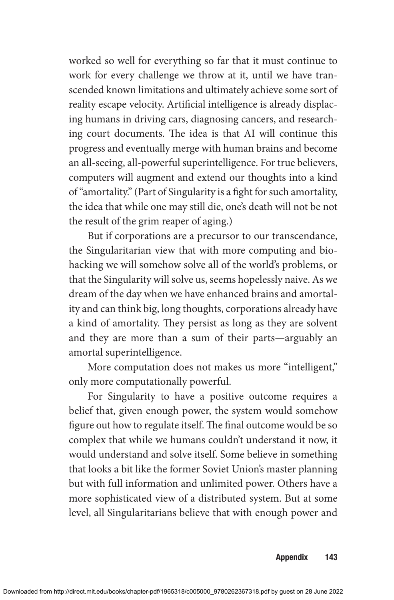worked so well for everything so far that it must continue to work for every challenge we throw at it, until we have transcended known limitations and ultimately achieve some sort of reality escape velocity. Artificial intelligence is already displacing humans in driving cars, diagnosing cancers, and researching court documents. The idea is that AI will continue this progress and eventually merge with human brains and become an all-seeing, all-powerful superintelligence. For true believers, computers will augment and extend our thoughts into a kind of "amortality." (Part of Singularity is a fight for such amortality, the idea that while one may still die, one's death will not be not the result of the grim reaper of aging.)

But if corporations are a precursor to our transcendance, the Singularitarian view that with more computing and biohacking we will somehow solve all of the world's problems, or that the Singularity will solve us, seems hopelessly naive. As we dream of the day when we have enhanced brains and amortality and can think big, long thoughts, corporations already have a kind of amortality. They persist as long as they are solvent and they are more than a sum of their parts—arguably an amortal superintelligence.

More computation does not makes us more "intelligent," only more computationally powerful.

For Singularity to have a positive outcome requires a belief that, given enough power, the system would somehow figure out how to regulate itself. The final outcome would be so complex that while we humans couldn't understand it now, it would understand and solve itself. Some believe in something that looks a bit like the former Soviet Union's master planning but with full information and unlimited power. Others have a more sophisticated view of a distributed system. But at some level, all Singularitarians believe that with enough power and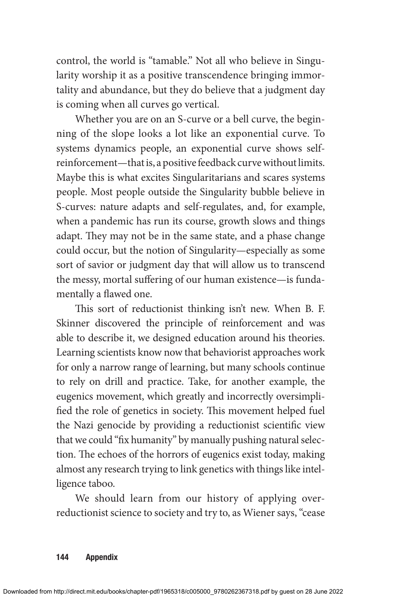control, the world is "tamable." Not all who believe in Singularity worship it as a positive transcendence bringing immortality and abundance, but they do believe that a judgment day is coming when all curves go vertical.

Whether you are on an S-curve or a bell curve, the beginning of the slope looks a lot like an exponential curve. To systems dynamics people, an exponential curve shows selfreinforcement—that is, a positive feedback curve without limits. Maybe this is what excites Singularitarians and scares systems people. Most people outside the Singularity bubble believe in S-curves: nature adapts and self-regulates, and, for example, when a pandemic has run its course, growth slows and things adapt. They may not be in the same state, and a phase change could occur, but the notion of Singularity—especially as some sort of savior or judgment day that will allow us to transcend the messy, mortal suffering of our human existence—is fundamentally a flawed one.

This sort of reductionist thinking isn't new. When B. F. Skinner discovered the principle of reinforcement and was able to describe it, we designed education around his theories. Learning scientists know now that behaviorist approaches work for only a narrow range of learning, but many schools continue to rely on drill and practice. Take, for another example, the eugenics movement, which greatly and incorrectly oversimplified the role of genetics in society. This movement helped fuel the Nazi genocide by providing a reductionist scientific view that we could "fix humanity" by manually pushing natural selection. The echoes of the horrors of eugenics exist today, making almost any research trying to link genetics with things like intelligence taboo.

We should learn from our history of applying overreductionist science to society and try to, as Wiener says, "cease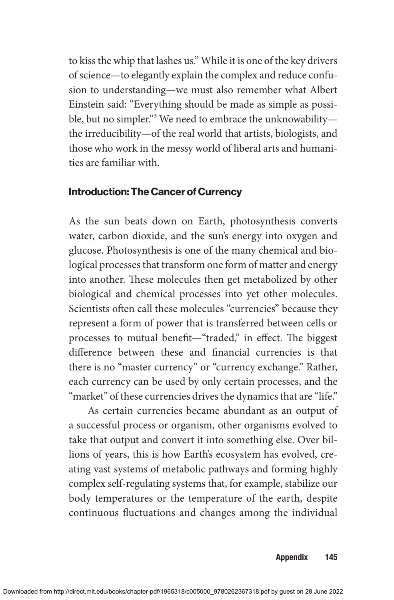to kiss the whip that lashes us." While it is one of the key drivers of science—to elegantly explain the complex and reduce confusion to understanding—we must also remember what Albert Einstein said: "Everything should be made as simple as possible, but no simpler."<sup>3</sup> We need to embrace the unknowability the irreducibility—of the real world that artists, biologists, and those who work in the messy world of liberal arts and humanities are familiar with.

#### Introduction: The Cancer of Currency

As the sun beats down on Earth, photosynthesis converts water, carbon dioxide, and the sun's energy into oxygen and glucose. Photosynthesis is one of the many chemical and biological processes that transform one form of matter and energy into another. These molecules then get metabolized by other biological and chemical processes into yet other molecules. Scientists often call these molecules "currencies" because they represent a form of power that is transferred between cells or processes to mutual benefit—"traded," in effect. The biggest difference between these and financial currencies is that there is no "master currency" or "currency exchange." Rather, each currency can be used by only certain processes, and the "market" of these currencies drives the dynamics that are "life."

As certain currencies became abundant as an output of a successful process or organism, other organisms evolved to take that output and convert it into something else. Over billions of years, this is how Earth's ecosystem has evolved, creating vast systems of metabolic pathways and forming highly complex self-regulating systems that, for example, stabilize our body temperatures or the temperature of the earth, despite continuous fluctuations and changes among the individual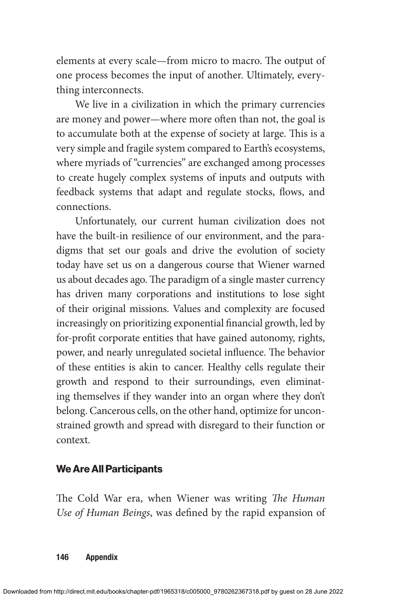elements at every scale—from micro to macro. The output of one process becomes the input of another. Ultimately, everything interconnects.

We live in a civilization in which the primary currencies are money and power—where more often than not, the goal is to accumulate both at the expense of society at large. This is a very simple and fragile system compared to Earth's ecosystems, where myriads of "currencies" are exchanged among processes to create hugely complex systems of inputs and outputs with feedback systems that adapt and regulate stocks, flows, and connections.

Unfortunately, our current human civilization does not have the built-in resilience of our environment, and the paradigms that set our goals and drive the evolution of society today have set us on a dangerous course that Wiener warned us about decades ago. The paradigm of a single master currency has driven many corporations and institutions to lose sight of their original missions. Values and complexity are focused increasingly on prioritizing exponential financial growth, led by for-profit corporate entities that have gained autonomy, rights, power, and nearly unregulated societal influence. The behavior of these entities is akin to cancer. Healthy cells regulate their growth and respond to their surroundings, even eliminating themselves if they wander into an organ where they don't belong. Cancerous cells, on the other hand, optimize for unconstrained growth and spread with disregard to their function or context.

## We Are All Participants

The Cold War era, when Wiener was writing *The Human Use of Human Beings*, was defined by the rapid expansion of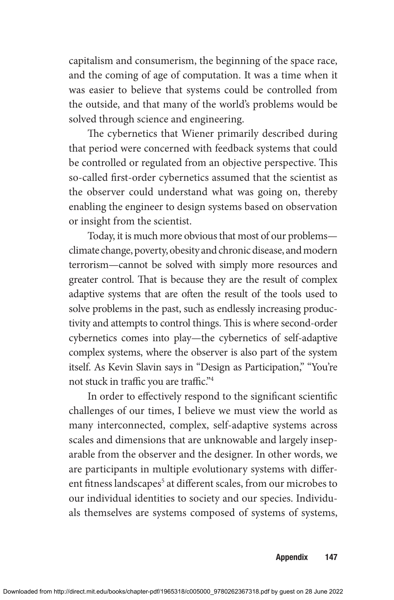capitalism and consumerism, the beginning of the space race, and the coming of age of computation. It was a time when it was easier to believe that systems could be controlled from the outside, and that many of the world's problems would be solved through science and engineering.

The cybernetics that Wiener primarily described during that period were concerned with feedback systems that could be controlled or regulated from an objective perspective. This so-called first-order cybernetics assumed that the scientist as the observer could understand what was going on, thereby enabling the engineer to design systems based on observation or insight from the scientist.

Today, it is much more obvious that most of our problems climate change, poverty, obesity and chronic disease, and modern terrorism—cannot be solved with simply more resources and greater control. That is because they are the result of complex adaptive systems that are often the result of the tools used to solve problems in the past, such as endlessly increasing productivity and attempts to control things. This is where second-order cybernetics comes into play—the cybernetics of self-adaptive complex systems, where the observer is also part of the system itself. As Kevin Slavin says in "Design as Participation," "You're not stuck in traffic you are traffic."4

In order to effectively respond to the significant scientific challenges of our times, I believe we must view the world as many interconnected, complex, self-adaptive systems across scales and dimensions that are unknowable and largely inseparable from the observer and the designer. In other words, we are participants in multiple evolutionary systems with different fitness landscapes<sup>5</sup> at different scales, from our microbes to our individual identities to society and our species. Individuals themselves are systems composed of systems of systems,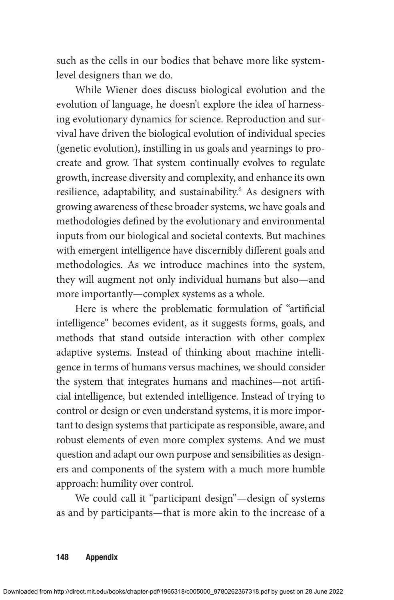such as the cells in our bodies that behave more like systemlevel designers than we do.

While Wiener does discuss biological evolution and the evolution of language, he doesn't explore the idea of harnessing evolutionary dynamics for science. Reproduction and survival have driven the biological evolution of individual species (genetic evolution), instilling in us goals and yearnings to procreate and grow. That system continually evolves to regulate growth, increase diversity and complexity, and enhance its own resilience, adaptability, and sustainability.<sup>6</sup> As designers with growing awareness of these broader systems, we have goals and methodologies defined by the evolutionary and environmental inputs from our biological and societal contexts. But machines with emergent intelligence have discernibly different goals and methodologies. As we introduce machines into the system, they will augment not only individual humans but also—and more importantly—complex systems as a whole.

Here is where the problematic formulation of "artificial intelligence" becomes evident, as it suggests forms, goals, and methods that stand outside interaction with other complex adaptive systems. Instead of thinking about machine intelligence in terms of humans versus machines, we should consider the system that integrates humans and machines—not artificial intelligence, but extended intelligence. Instead of trying to control or design or even understand systems, it is more important to design systems that participate as responsible, aware, and robust elements of even more complex systems. And we must question and adapt our own purpose and sensibilities as designers and components of the system with a much more humble approach: humility over control.

We could call it "participant design"—design of systems as and by participants—that is more akin to the increase of a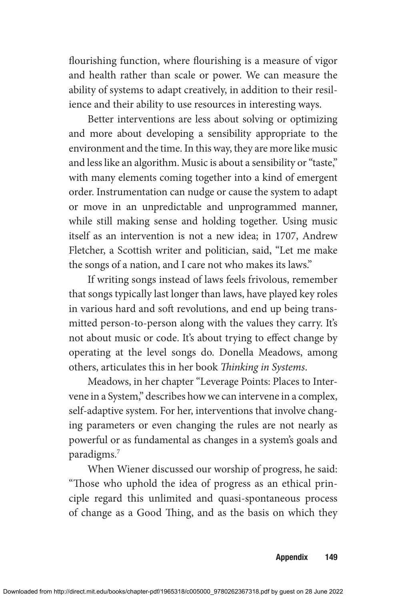flourishing function, where flourishing is a measure of vigor and health rather than scale or power. We can measure the ability of systems to adapt creatively, in addition to their resilience and their ability to use resources in interesting ways.

Better interventions are less about solving or optimizing and more about developing a sensibility appropriate to the environment and the time. In this way, they are more like music and less like an algorithm. Music is about a sensibility or "taste," with many elements coming together into a kind of emergent order. Instrumentation can nudge or cause the system to adapt or move in an unpredictable and unprogrammed manner, while still making sense and holding together. Using music itself as an intervention is not a new idea; in 1707, Andrew Fletcher, a Scottish writer and politician, said, "Let me make the songs of a nation, and I care not who makes its laws."

If writing songs instead of laws feels frivolous, remember that songs typically last longer than laws, have played key roles in various hard and soft revolutions, and end up being transmitted person-to-person along with the values they carry. It's not about music or code. It's about trying to effect change by operating at the level songs do. Donella Meadows, among others, articulates this in her book *Thinking in Systems*.

Meadows, in her chapter "Leverage Points: Places to Intervene in a System," describes how we can intervene in a complex, self-adaptive system. For her, interventions that involve changing parameters or even changing the rules are not nearly as powerful or as fundamental as changes in a system's goals and paradigms.7

When Wiener discussed our worship of progress, he said: "Those who uphold the idea of progress as an ethical principle regard this unlimited and quasi-spontaneous process of change as a Good Thing, and as the basis on which they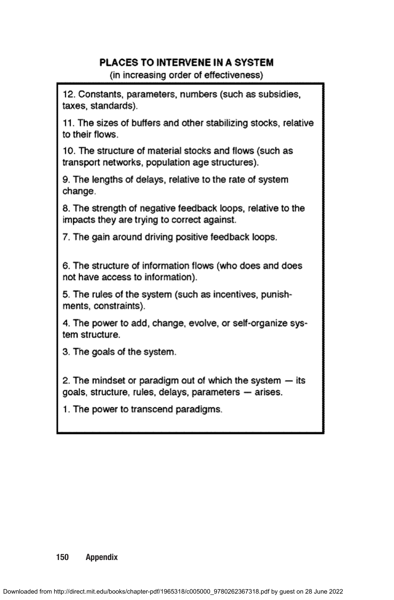## PLACES TO INTERVENE IN A SYSTEM

(in increasing order of effectiveness)

12. Constants, parameters, numbers (such as subsidies, taxes, standards).

11. The sizes of buffers and other stabilizing stocks, relative to their flows.

10. The structure of material stocks and flows (such as transport networks, population age structures).

9. The lengths of delays, relative to the rate of system change.

8. The strength of negative feedback loops, relative to the impacts they are trying to correct against.

7. The gain around driving positive feedback loops.

6. The structure of information flows (who does and does not have access to information).

5. The rules of the system (such as incentives, punishments, constraints).

4. The power to add, change, evolve, or self-organize system structure.

3. The goals of the system.

2. The mindset or paradigm out of which the system  $-$  its goals, structure, rules, delays, parameters - arises.

1. The power to transcend paradigms.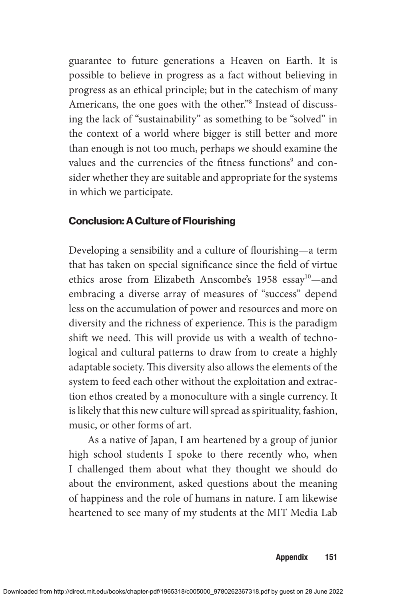guarantee to future generations a Heaven on Earth. It is possible to believe in progress as a fact without believing in progress as an ethical principle; but in the catechism of many Americans, the one goes with the other."<sup>8</sup> Instead of discussing the lack of "sustainability" as something to be "solved" in the context of a world where bigger is still better and more than enough is not too much, perhaps we should examine the values and the currencies of the fitness functions<sup>9</sup> and consider whether they are suitable and appropriate for the systems in which we participate.

### Conclusion: A Culture of Flourishing

Developing a sensibility and a culture of flourishing—a term that has taken on special significance since the field of virtue ethics arose from Elizabeth Anscombe's 1958 essay<sup>10</sup>-and embracing a diverse array of measures of "success" depend less on the accumulation of power and resources and more on diversity and the richness of experience. This is the paradigm shift we need. This will provide us with a wealth of technological and cultural patterns to draw from to create a highly adaptable society. This diversity also allows the elements of the system to feed each other without the exploitation and extraction ethos created by a monoculture with a single currency. It is likely that this new culture will spread as spirituality, fashion, music, or other forms of art.

As a native of Japan, I am heartened by a group of junior high school students I spoke to there recently who, when I challenged them about what they thought we should do about the environment, asked questions about the meaning of happiness and the role of humans in nature. I am likewise heartened to see many of my students at the MIT Media Lab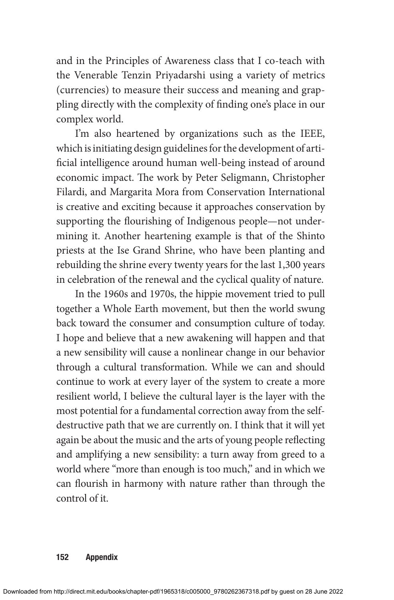and in the Principles of Awareness class that I co-teach with the Venerable Tenzin Priyadarshi using a variety of metrics (currencies) to measure their success and meaning and grappling directly with the complexity of finding one's place in our complex world.

I'm also heartened by organizations such as the IEEE, which is initiating design guidelines for the development of artificial intelligence around human well-being instead of around economic impact. The work by Peter Seligmann, Christopher Filardi, and Margarita Mora from Conservation International is creative and exciting because it approaches conservation by supporting the flourishing of Indigenous people—not undermining it. Another heartening example is that of the Shinto priests at the Ise Grand Shrine, who have been planting and rebuilding the shrine every twenty years for the last 1,300 years in celebration of the renewal and the cyclical quality of nature.

In the 1960s and 1970s, the hippie movement tried to pull together a Whole Earth movement, but then the world swung back toward the consumer and consumption culture of today. I hope and believe that a new awakening will happen and that a new sensibility will cause a nonlinear change in our behavior through a cultural transformation. While we can and should continue to work at every layer of the system to create a more resilient world, I believe the cultural layer is the layer with the most potential for a fundamental correction away from the selfdestructive path that we are currently on. I think that it will yet again be about the music and the arts of young people reflecting and amplifying a new sensibility: a turn away from greed to a world where "more than enough is too much," and in which we can flourish in harmony with nature rather than through the control of it.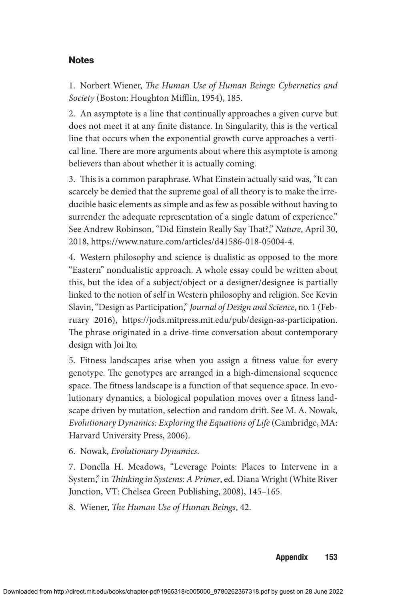#### Notes

1. Norbert Wiener, *The Human Use of Human Beings: Cybernetics and Society* (Boston: Houghton Mifflin, 1954), 185.

2. An asymptote is a line that continually approaches a given curve but does not meet it at any finite distance. In Singularity, this is the vertical line that occurs when the exponential growth curve approaches a vertical line. There are more arguments about where this asymptote is among believers than about whether it is actually coming.

3. This is a common paraphrase. What Einstein actually said was, "It can scarcely be denied that the supreme goal of all theory is to make the irreducible basic elements as simple and as few as possible without having to surrender the adequate representation of a single datum of experience." See Andrew Robinson, "Did Einstein Really Say That?," *Nature*, April 30, 2018, [https://www.nature.com/articles/d41586-018-05004-4.](https://www.nature.com/articles/d41586-018-05004-4)

4. Western philosophy and science is dualistic as opposed to the more "Eastern" nondualistic approach. A whole essay could be written about this, but the idea of a subject/object or a designer/designee is partially linked to the notion of self in Western philosophy and religion. See Kevin Slavin, "Design as Participation," *Journal of Design and Science*, no. 1 (February 2016), [https://jods.mitpress.mit.edu/pub/design-as-participation.](https://jods.mitpress.mit.edu/pub/design-as-participation) The phrase originated in a drive-time conversation about contemporary design with Joi Ito.

5. Fitness landscapes arise when you assign a fitness value for every genotype. The genotypes are arranged in a high-dimensional sequence space. The fitness landscape is a function of that sequence space. In evolutionary dynamics, a biological population moves over a fitness landscape driven by mutation, selection and random drift. See M. A. Nowak, *Evolutionary Dynamics: Exploring the Equations of Life* (Cambridge, MA: Harvard University Press, 2006).

6. Nowak, *Evolutionary Dynamics*.

7. Donella H. Meadows, "Leverage Points: Places to Intervene in a System," in *Thinking in Systems: A Primer*, ed. Diana Wright (White River Junction, VT: Chelsea Green Publishing, 2008), 145–165.

8. Wiener, *The Human Use of Human Beings*, 42.

#### Appendix 153